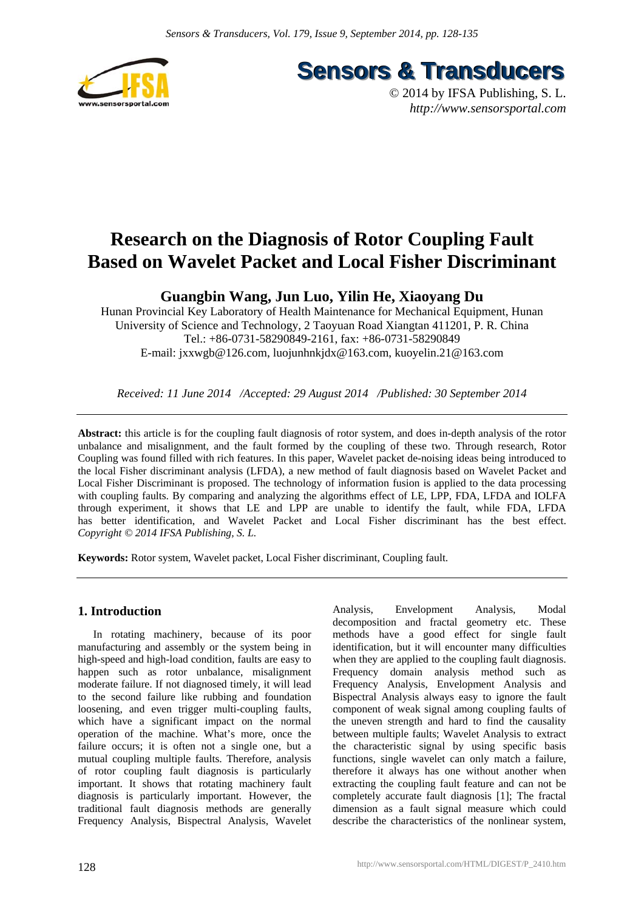

**Sensors & Transducers** 

© 2014 by IFSA Publishing, S. L. *http://www.sensorsportal.com*

# **Research on the Diagnosis of Rotor Coupling Fault Based on Wavelet Packet and Local Fisher Discriminant**

**Guangbin Wang, Jun Luo, Yilin He, Xiaoyang Du** 

Hunan Provincial Key Laboratory of Health Maintenance for Mechanical Equipment, Hunan University of Science and Technology, 2 Taoyuan Road Xiangtan 411201, P. R. China Tel.: +86-0731-58290849-2161, fax: +86-0731-58290849 E-mail: jxxwgb@126.com, luojunhnkjdx@163.com, kuoyelin.21@163.com

*Received: 11 June 2014 /Accepted: 29 August 2014 /Published: 30 September 2014* 

**Abstract:** this article is for the coupling fault diagnosis of rotor system, and does in-depth analysis of the rotor unbalance and misalignment, and the fault formed by the coupling of these two. Through research, Rotor Coupling was found filled with rich features. In this paper, Wavelet packet de-noising ideas being introduced to the local Fisher discriminant analysis (LFDA), a new method of fault diagnosis based on Wavelet Packet and Local Fisher Discriminant is proposed. The technology of information fusion is applied to the data processing with coupling faults. By comparing and analyzing the algorithms effect of LE, LPP, FDA, LFDA and IOLFA through experiment, it shows that LE and LPP are unable to identify the fault, while FDA, LFDA has better identification, and Wavelet Packet and Local Fisher discriminant has the best effect. *Copyright © 2014 IFSA Publishing, S. L.*

**Keywords:** Rotor system, Wavelet packet, Local Fisher discriminant, Coupling fault.

# **1. Introduction**

In rotating machinery, because of its poor manufacturing and assembly or the system being in high-speed and high-load condition, faults are easy to happen such as rotor unbalance, misalignment moderate failure. If not diagnosed timely, it will lead to the second failure like rubbing and foundation loosening, and even trigger multi-coupling faults, which have a significant impact on the normal operation of the machine. What's more, once the failure occurs; it is often not a single one, but a mutual coupling multiple faults. Therefore, analysis of rotor coupling fault diagnosis is particularly important. It shows that rotating machinery fault diagnosis is particularly important. However, the traditional fault diagnosis methods are generally Frequency Analysis, Bispectral Analysis, Wavelet

Analysis, Envelopment Analysis, Modal decomposition and fractal geometry etc. These methods have a good effect for single fault identification, but it will encounter many difficulties when they are applied to the coupling fault diagnosis. Frequency domain analysis method such as Frequency Analysis, Envelopment Analysis and Bispectral Analysis always easy to ignore the fault component of weak signal among coupling faults of the uneven strength and hard to find the causality between multiple faults; Wavelet Analysis to extract the characteristic signal by using specific basis functions, single wavelet can only match a failure, therefore it always has one without another when extracting the coupling fault feature and can not be completely accurate fault diagnosis [1]; The fractal dimension as a fault signal measure which could describe the characteristics of the nonlinear system,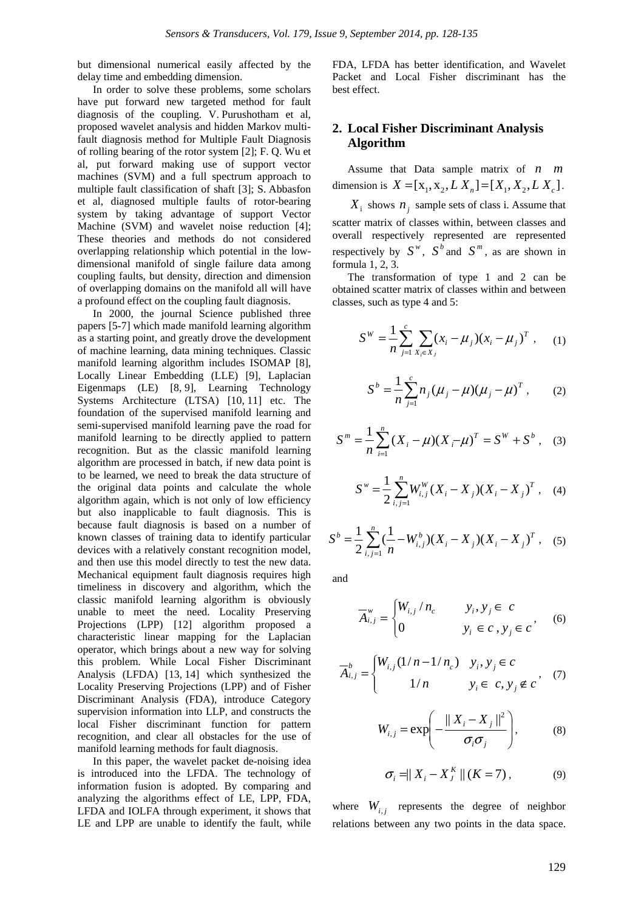but dimensional numerical easily affected by the delay time and embedding dimension.

In order to solve these problems, some scholars have put forward new targeted method for fault diagnosis of the coupling. V. Purushotham et al, proposed wavelet analysis and hidden Markov multifault diagnosis method for Multiple Fault Diagnosis of rolling bearing of the rotor system [2]; F. Q. Wu et al, put forward making use of support vector machines (SVM) and a full spectrum approach to multiple fault classification of shaft [3]; S. Abbasfon et al, diagnosed multiple faults of rotor-bearing system by taking advantage of support Vector Machine (SVM) and wavelet noise reduction [4]; These theories and methods do not considered overlapping relationship which potential in the lowdimensional manifold of single failure data among coupling faults, but density, direction and dimension of overlapping domains on the manifold all will have a profound effect on the coupling fault diagnosis.

In 2000, the journal Science published three papers [5-7] which made manifold learning algorithm as a starting point, and greatly drove the development of machine learning, data mining techniques. Classic manifold learning algorithm includes ISOMAP [8], Locally Linear Embedding (LLE) [9], Laplacian Eigenmaps (LE) [8, 9], Learning Technology Systems Architecture (LTSA) [10, 11] etc. The foundation of the supervised manifold learning and semi-supervised manifold learning pave the road for manifold learning to be directly applied to pattern recognition. But as the classic manifold learning algorithm are processed in batch, if new data point is to be learned, we need to break the data structure of the original data points and calculate the whole algorithm again, which is not only of low efficiency but also inapplicable to fault diagnosis. This is because fault diagnosis is based on a number of known classes of training data to identify particular devices with a relatively constant recognition model, and then use this model directly to test the new data. Mechanical equipment fault diagnosis requires high timeliness in discovery and algorithm, which the classic manifold learning algorithm is obviously unable to meet the need. Locality Preserving Projections (LPP) [12] algorithm proposed a characteristic linear mapping for the Laplacian operator, which brings about a new way for solving this problem. While Local Fisher Discriminant Analysis (LFDA) [13, 14] which synthesized the Locality Preserving Projections (LPP) and of Fisher Discriminant Analysis (FDA), introduce Category supervision information into LLP, and constructs the local Fisher discriminant function for pattern recognition, and clear all obstacles for the use of manifold learning methods for fault diagnosis.

In this paper, the wavelet packet de-noising idea is introduced into the LFDA. The technology of information fusion is adopted. By comparing and analyzing the algorithms effect of LE, LPP, FDA, LFDA and IOLFA through experiment, it shows that LE and LPP are unable to identify the fault, while FDA, LFDA has better identification, and Wavelet Packet and Local Fisher discriminant has the best effect.

# **2. Local Fisher Discriminant Analysis Algorithm**

Assume that Data sample matrix of *n m* dimension is  $X = [x_1, x_2, L X_n] = [X_1, X_2, L X_c].$ 

 $X_i$  shows  $n_i$  sample sets of class i. Assume that scatter matrix of classes within, between classes and overall respectively represented are represented respectively by  $S^w$ ,  $S^b$  and  $S^m$ , as are shown in formula 1, 2, 3.

The transformation of type 1 and 2 can be obtained scatter matrix of classes within and between classes, such as type 4 and 5:

$$
S^{W} = \frac{1}{n} \sum_{j=1}^{c} \sum_{X_i \in X_j} (x_i - \mu_j)(x_i - \mu_j)^T, \quad (1)
$$

$$
S^{b} = \frac{1}{n} \sum_{j=1}^{c} n_{j} (\mu_{j} - \mu) (\mu_{j} - \mu)^{T}, \qquad (2)
$$

$$
S^{m} = \frac{1}{n} \sum_{i=1}^{n} (X_{i} - \mu)(X_{i} - \mu)^{T} = S^{W} + S^{b} ,
$$
 (3)

$$
S^{\nu} = \frac{1}{2} \sum_{i,j=1}^{n} W_{i,j}^{W}(X_i - X_j)(X_i - X_j)^{T}, \quad (4)
$$

$$
S^{b} = \frac{1}{2} \sum_{i,j=1}^{n} \left( \frac{1}{n} - W_{i,j}^{b} \right) (X_{i} - X_{j}) (X_{i} - X_{j})^{T}, \quad (5)
$$

and

$$
\overline{A}_{i,j}^w = \begin{cases} W_{i,j} / n_c & y_i, y_j \in c \\ 0 & y_i \in c, y_j \in c \end{cases}
$$
 (6)

$$
\overline{A}_{i,j}^{b} = \begin{cases} W_{i,j}(1/n - 1/n_c) & y_i, y_j \in c \\ 1/n & y_i \in c, y_j \notin c \end{cases}
$$
 (7)

$$
W_{i,j} = \exp\left(-\frac{\|X_i - X_j\|^2}{\sigma_i \sigma_j}\right),\tag{8}
$$

$$
\sigma_i = \|X_i - X_j^K\| \left( K = 7 \right), \tag{9}
$$

where  $W_{i,j}$  represents the degree of neighbor relations between any two points in the data space.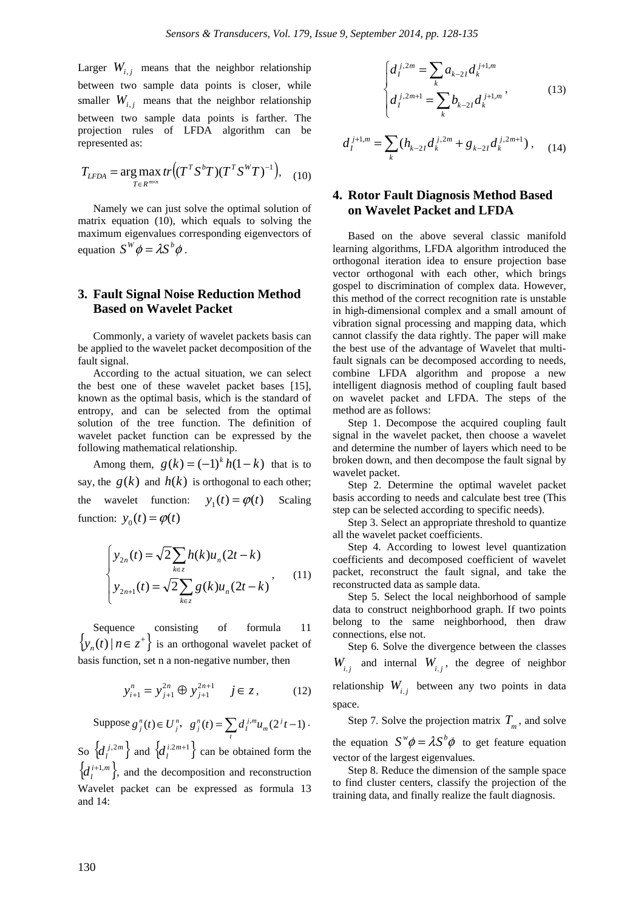Larger  $W_{i,i}$  means that the neighbor relationship between two sample data points is closer, while smaller  $W_i$ , means that the neighbor relationship between two sample data points is farther. The projection rules of LFDA algorithm can be represented as:

$$
T_{LFDA} = \arg\max_{T \in R^{m \times n}} tr \big( (T^T S^b T) (T^T S^W T)^{-1} \big), \quad (10)
$$

Namely we can just solve the optimal solution of matrix equation (10), which equals to solving the maximum eigenvalues corresponding eigenvectors of equation  $S^W \phi = \lambda S^b \phi$ .

## **3. Fault Signal Noise Reduction Method Based on Wavelet Packet**

Commonly, a variety of wavelet packets basis can be applied to the wavelet packet decomposition of the fault signal.

According to the actual situation, we can select the best one of these wavelet packet bases [15], known as the optimal basis, which is the standard of entropy, and can be selected from the optimal solution of the tree function. The definition of wavelet packet function can be expressed by the following mathematical relationship.

Among them,  $g(k) = (-1)^k h(1-k)$  that is to say, the  $g(k)$  and  $h(k)$  is orthogonal to each other; the wavelet function:  $y_1(t) = \varphi(t)$  Scaling function:  $y_0(t) = \varphi(t)$ 

$$
\begin{cases}\ny_{2n}(t) = \sqrt{2} \sum_{k \in z} h(k) u_n(2t - k) \\
y_{2n+1}(t) = \sqrt{2} \sum_{k \in z} g(k) u_n(2t - k)\n\end{cases}
$$
\n(11)

Sequence consisting of formula 11  ${y_n(t) | n \in z^+}$  is an orthogonal wavelet packet of basis function, set n a non-negative number, then

$$
y_{i+1}^n = y_{j+1}^{2n} \oplus y_{j+1}^{2n+1} \quad j \in z, \tag{12}
$$

Suppose  $g_j^n(t) \in U_j^n$ ,  $g_j^n(t) = \sum_t d_i^{j,m} u_m(2^j t - 1)$ . So  $\{d_i^{j,2m}\}\$  and  $\{d_i^{i,2m+1}\}\$  can be obtained form the  ${d_l^{i+1,m}}$ , and the decomposition and reconstruction Wavelet packet can be expressed as formula 13 and 14:

$$
\begin{cases} d_I^{j,2m} = \sum_k a_{k-2I} d_k^{j+1,m} \\ d_I^{j,2m+1} = \sum_k b_{k-2I} d_k^{j+1,m} \end{cases}
$$
 (13)

$$
d_I^{j+1,m} = \sum_k (h_{k-2I} d_k^{j,2m} + g_{k-2I} d_k^{j,2m+1}), \quad (14)
$$

# **4. Rotor Fault Diagnosis Method Based on Wavelet Packet and LFDA**

Based on the above several classic manifold learning algorithms, LFDA algorithm introduced the orthogonal iteration idea to ensure projection base vector orthogonal with each other, which brings gospel to discrimination of complex data. However, this method of the correct recognition rate is unstable in high-dimensional complex and a small amount of vibration signal processing and mapping data, which cannot classify the data rightly. The paper will make the best use of the advantage of Wavelet that multifault signals can be decomposed according to needs, combine LFDA algorithm and propose a new intelligent diagnosis method of coupling fault based on wavelet packet and LFDA. The steps of the method are as follows:

Step 1. Decompose the acquired coupling fault signal in the wavelet packet, then choose a wavelet and determine the number of layers which need to be broken down, and then decompose the fault signal by wavelet packet.

Step 2. Determine the optimal wavelet packet basis according to needs and calculate best tree (This step can be selected according to specific needs).

Step 3. Select an appropriate threshold to quantize all the wavelet packet coefficients.

Step 4. According to lowest level quantization coefficients and decomposed coefficient of wavelet packet, reconstruct the fault signal, and take the reconstructed data as sample data.

Step 5. Select the local neighborhood of sample data to construct neighborhood graph. If two points belong to the same neighborhood, then draw connections, else not.

Step 6. Solve the divergence between the classes  $W_{i,j}$  and internal  $W_{i,j}$ , the degree of neighbor relationship  $W_{i,i}$  between any two points in data space.

Step 7. Solve the projection matrix  $T_m$ , and solve the equation  $S^w \phi = \lambda S^b \phi$  to get feature equation vector of the largest eigenvalues.

Step 8. Reduce the dimension of the sample space to find cluster centers, classify the projection of the training data, and finally realize the fault diagnosis.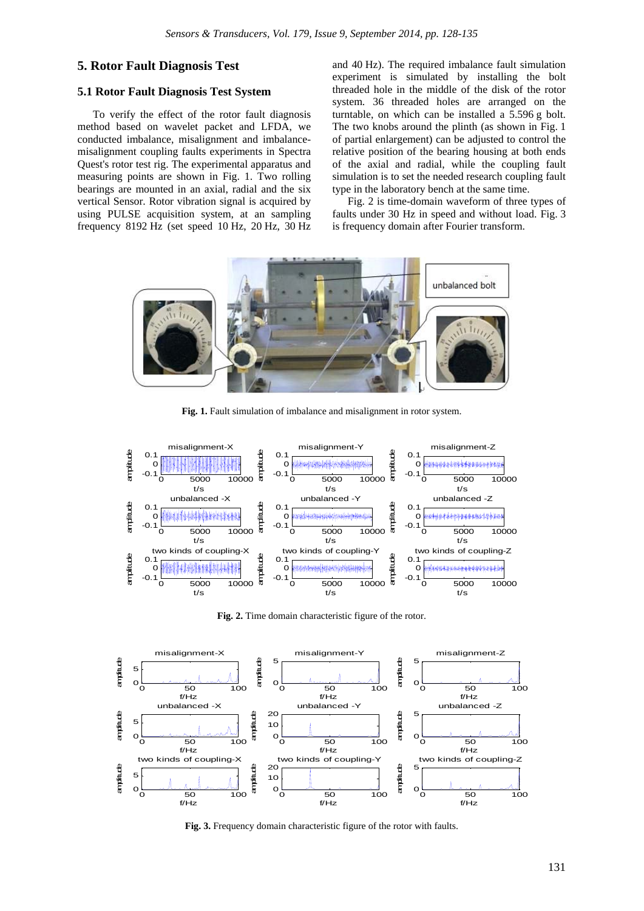### **5. Rotor Fault Diagnosis Test**

## **5.1 Rotor Fault Diagnosis Test System**

To verify the effect of the rotor fault diagnosis method based on wavelet packet and LFDA, we conducted imbalance, misalignment and imbalancemisalignment coupling faults experiments in Spectra Quest's rotor test rig. The experimental apparatus and measuring points are shown in Fig. 1. Two rolling bearings are mounted in an axial, radial and the six vertical Sensor. Rotor vibration signal is acquired by using PULSE acquisition system, at an sampling frequency 8192 Hz (set speed 10 Hz, 20 Hz, 30 Hz and 40 Hz). The required imbalance fault simulation experiment is simulated by installing the bolt threaded hole in the middle of the disk of the rotor system. 36 threaded holes are arranged on the turntable, on which can be installed a 5.596 g bolt. The two knobs around the plinth (as shown in Fig. 1 of partial enlargement) can be adjusted to control the relative position of the bearing housing at both ends of the axial and radial, while the coupling fault simulation is to set the needed research coupling fault type in the laboratory bench at the same time.

Fig. 2 is time-domain waveform of three types of faults under 30 Hz in speed and without load. Fig. 3 is frequency domain after Fourier transform.



**Fig. 1.** Fault simulation of imbalance and misalignment in rotor system.



Fig. 2. Time domain characteristic figure of the rotor.



**Fig. 3.** Frequency domain characteristic figure of the rotor with faults.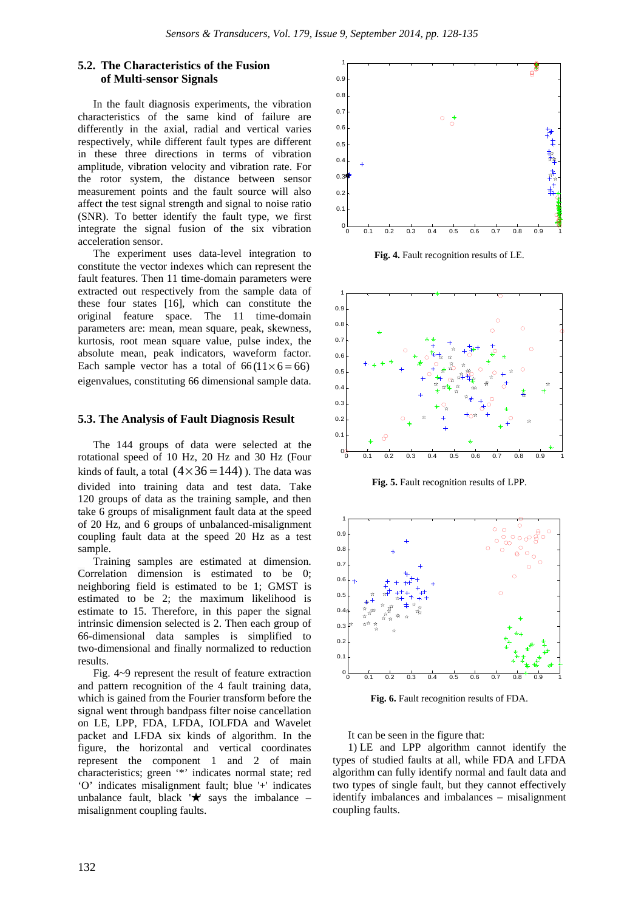## **5.2. The Characteristics of the Fusion of Multi-sensor Signals**

In the fault diagnosis experiments, the vibration characteristics of the same kind of failure are differently in the axial, radial and vertical varies respectively, while different fault types are different in these three directions in terms of vibration amplitude, vibration velocity and vibration rate. For the rotor system, the distance between sensor measurement points and the fault source will also affect the test signal strength and signal to noise ratio (SNR). To better identify the fault type, we first integrate the signal fusion of the six vibration acceleration sensor.

The experiment uses data-level integration to constitute the vector indexes which can represent the fault features. Then 11 time-domain parameters were extracted out respectively from the sample data of these four states [16], which can constitute the original feature space. The 11 time-domain parameters are: mean, mean square, peak, skewness, kurtosis, root mean square value, pulse index, the absolute mean, peak indicators, waveform factor. Each sample vector has a total of  $66(11 \times 6 = 66)$ eigenvalues, constituting 66 dimensional sample data.

#### **5.3. The Analysis of Fault Diagnosis Result**

The 144 groups of data were selected at the rotational speed of 10 Hz, 20 Hz and 30 Hz (Four kinds of fault, a total  $(4 \times 36 = 144)$ ). The data was divided into training data and test data. Take 120 groups of data as the training sample, and then take 6 groups of misalignment fault data at the speed of 20 Hz, and 6 groups of unbalanced-misalignment coupling fault data at the speed 20 Hz as a test sample.

Training samples are estimated at dimension. Correlation dimension is estimated to be 0; neighboring field is estimated to be 1; GMST is estimated to be 2; the maximum likelihood is estimate to 15. Therefore, in this paper the signal intrinsic dimension selected is 2. Then each group of 66-dimensional data samples is simplified to two-dimensional and finally normalized to reduction results.

Fig. 4~9 represent the result of feature extraction and pattern recognition of the 4 fault training data, which is gained from the Fourier transform before the signal went through bandpass filter noise cancellation on LE, LPP, FDA, LFDA, IOLFDA and Wavelet packet and LFDA six kinds of algorithm. In the figure, the horizontal and vertical coordinates represent the component 1 and 2 of main characteristics; green '\*' indicates normal state; red 'O' indicates misalignment fault; blue '+' indicates unbalance fault, black  $\forall$  says the imbalance – misalignment coupling faults.



**Fig. 4.** Fault recognition results of LE.



**Fig. 5.** Fault recognition results of LPP.



**Fig. 6.** Fault recognition results of FDA.

It can be seen in the figure that:

1) LE and LPP algorithm cannot identify the types of studied faults at all, while FDA and LFDA algorithm can fully identify normal and fault data and two types of single fault, but they cannot effectively identify imbalances and imbalances – misalignment coupling faults.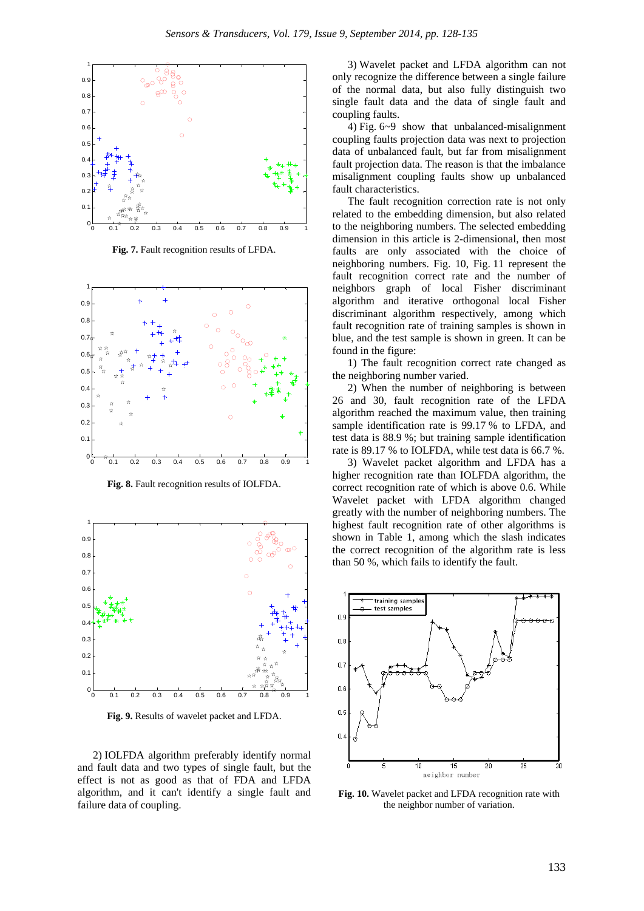

**Fig. 7.** Fault recognition results of LFDA.

![](_page_5_Figure_3.jpeg)

**Fig. 8.** Fault recognition results of IOLFDA.

![](_page_5_Figure_5.jpeg)

**Fig. 9.** Results of wavelet packet and LFDA.

2) IOLFDA algorithm preferably identify normal and fault data and two types of single fault, but the effect is not as good as that of FDA and LFDA algorithm, and it can't identify a single fault and failure data of coupling.

3) Wavelet packet and LFDA algorithm can not only recognize the difference between a single failure of the normal data, but also fully distinguish two single fault data and the data of single fault and coupling faults.

4) Fig. 6~9 show that unbalanced-misalignment coupling faults projection data was next to projection data of unbalanced fault, but far from misalignment fault projection data. The reason is that the imbalance misalignment coupling faults show up unbalanced fault characteristics.

The fault recognition correction rate is not only related to the embedding dimension, but also related to the neighboring numbers. The selected embedding dimension in this article is 2-dimensional, then most faults are only associated with the choice of neighboring numbers. Fig. 10, Fig. 11 represent the fault recognition correct rate and the number of neighbors graph of local Fisher discriminant algorithm and iterative orthogonal local Fisher discriminant algorithm respectively, among which fault recognition rate of training samples is shown in blue, and the test sample is shown in green. It can be found in the figure:

1) The fault recognition correct rate changed as the neighboring number varied.

2) When the number of neighboring is between 26 and 30, fault recognition rate of the LFDA algorithm reached the maximum value, then training sample identification rate is 99.17 % to LFDA, and test data is 88.9 %; but training sample identification rate is 89.17 % to IOLFDA, while test data is 66.7 %.

3) Wavelet packet algorithm and LFDA has a higher recognition rate than IOLFDA algorithm, the correct recognition rate of which is above 0.6. While Wavelet packet with LFDA algorithm changed greatly with the number of neighboring numbers. The highest fault recognition rate of other algorithms is shown in Table 1, among which the slash indicates the correct recognition of the algorithm rate is less than 50 %, which fails to identify the fault.

![](_page_5_Figure_14.jpeg)

**Fig. 10.** Wavelet packet and LFDA recognition rate with the neighbor number of variation.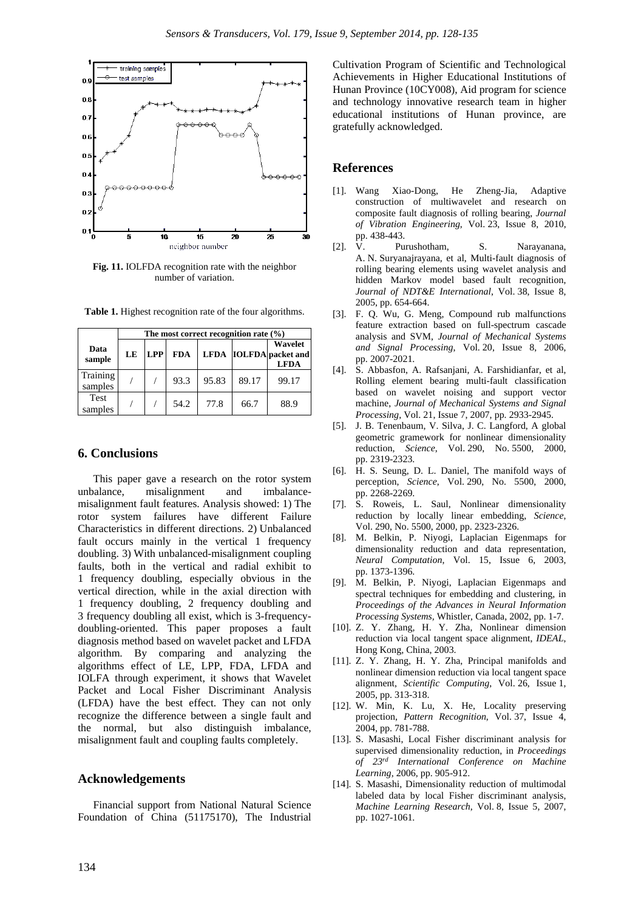![](_page_6_Figure_1.jpeg)

**Fig. 11.** IOLFDA recognition rate with the neighbor number of variation.

|                        | The most correct recognition rate $(%$ ) |            |            |       |       |                                                  |
|------------------------|------------------------------------------|------------|------------|-------|-------|--------------------------------------------------|
| Data<br>sample         | LE                                       | <b>LPP</b> | <b>FDA</b> |       |       | Wavelet<br>LFDA IOLFDA packet and<br><b>LFDA</b> |
| Training<br>samples    |                                          |            | 93.3       | 95.83 | 89.17 | 99.17                                            |
| <b>Test</b><br>samples |                                          |            | 54.2       | 77.8  | 66.7  | 88.9                                             |

**Table 1.** Highest recognition rate of the four algorithms.

## **6. Conclusions**

This paper gave a research on the rotor system unbalance, misalignment and imbalancemisalignment fault features. Analysis showed: 1) The rotor system failures have different Failure Characteristics in different directions. 2) Unbalanced fault occurs mainly in the vertical 1 frequency doubling. 3) With unbalanced-misalignment coupling faults, both in the vertical and radial exhibit to 1 frequency doubling, especially obvious in the vertical direction, while in the axial direction with 1 frequency doubling, 2 frequency doubling and 3 frequency doubling all exist, which is 3-frequencydoubling-oriented. This paper proposes a fault diagnosis method based on wavelet packet and LFDA algorithm. By comparing and analyzing the algorithms effect of LE, LPP, FDA, LFDA and IOLFA through experiment, it shows that Wavelet Packet and Local Fisher Discriminant Analysis (LFDA) have the best effect. They can not only recognize the difference between a single fault and the normal, but also distinguish imbalance, misalignment fault and coupling faults completely.

### **Acknowledgements**

Financial support from National Natural Science Foundation of China (51175170), The Industrial Cultivation Program of Scientific and Technological Achievements in Higher Educational Institutions of Hunan Province (10CY008), Aid program for science and technology innovative research team in higher educational institutions of Hunan province, are gratefully acknowledged.

### **References**

- [1]. Wang Xiao-Dong, He Zheng-Jia, Adaptive construction of multiwavelet and research on composite fault diagnosis of rolling bearing, *Journal of Vibration Engineering*, Vol. 23, Issue 8, 2010, pp. 438-443.
- [2]. V. Purushotham, S. Narayanana, A. N. Suryanajrayana, et al, Multi-fault diagnosis of rolling bearing elements using wavelet analysis and hidden Markov model based fault recognition, *Journal of NDT&E International*, Vol. 38, Issue 8, 2005, pp. 654-664.
- [3]. F. Q. Wu, G. Meng, Compound rub malfunctions feature extraction based on full-spectrum cascade analysis and SVM, *Journal of Mechanical Systems and Signal Processing*, Vol. 20, Issue 8, 2006, pp. 2007-2021.
- [4]. S. Abbasfon, A. Rafsanjani, A. Farshidianfar, et al, Rolling element bearing multi-fault classification based on wavelet noising and support vector machine, *Journal of Mechanical Systems and Signal Processing*, Vol. 21, Issue 7, 2007, pp. 2933-2945.
- [5]. J. B. Tenenbaum, V. Silva, J. C. Langford, A global geometric gramework for nonlinear dimensionality reduction, *Science*, Vol. 290, No. 5500, 2000, pp. 2319-2323.
- [6]. H. S. Seung, D. L. Daniel, The manifold ways of perception, *Science*, Vol. 290, No. 5500, 2000, pp. 2268-2269.
- [7]. S. Roweis, L. Saul, Nonlinear dimensionality reduction by locally linear embedding, *Science*, Vol. 290, No. 5500, 2000, pp. 2323-2326.
- [8]. M. Belkin, P. Niyogi, Laplacian Eigenmaps for dimensionality reduction and data representation, *Neural Computation*, Vol. 15, Issue 6, 2003, pp. 1373-1396.
- [9]. M. Belkin, P. Niyogi, Laplacian Eigenmaps and spectral techniques for embedding and clustering, in *Proceedings of the Advances in Neural Information Processing Systems,* Whistler, Canada, 2002, pp. 1-7.
- [10]. Z. Y. Zhang, H. Y. Zha, Nonlinear dimension reduction via local tangent space alignment, *IDEAL*, Hong Kong, China, 2003.
- [11]. Z. Y. Zhang, H. Y. Zha, Principal manifolds and nonlinear dimension reduction via local tangent space alignment, *Scientific Computing*, Vol. 26, Issue 1, 2005, pp. 313-318.
- [12]. W. Min, K. Lu, X. He, Locality preserving projection, *Pattern Recognition*, Vol. 37, Issue 4, 2004, pp. 781-788.
- [13]. S. Masashi, Local Fisher discriminant analysis for supervised dimensionality reduction, in *Proceedings of 23rd International Conference on Machine Learning*, 2006, pp. 905-912.
- [14]. S. Masashi, Dimensionality reduction of multimodal labeled data by local Fisher discriminant analysis, *Machine Learning Research*, Vol. 8, Issue 5, 2007, pp. 1027-1061.